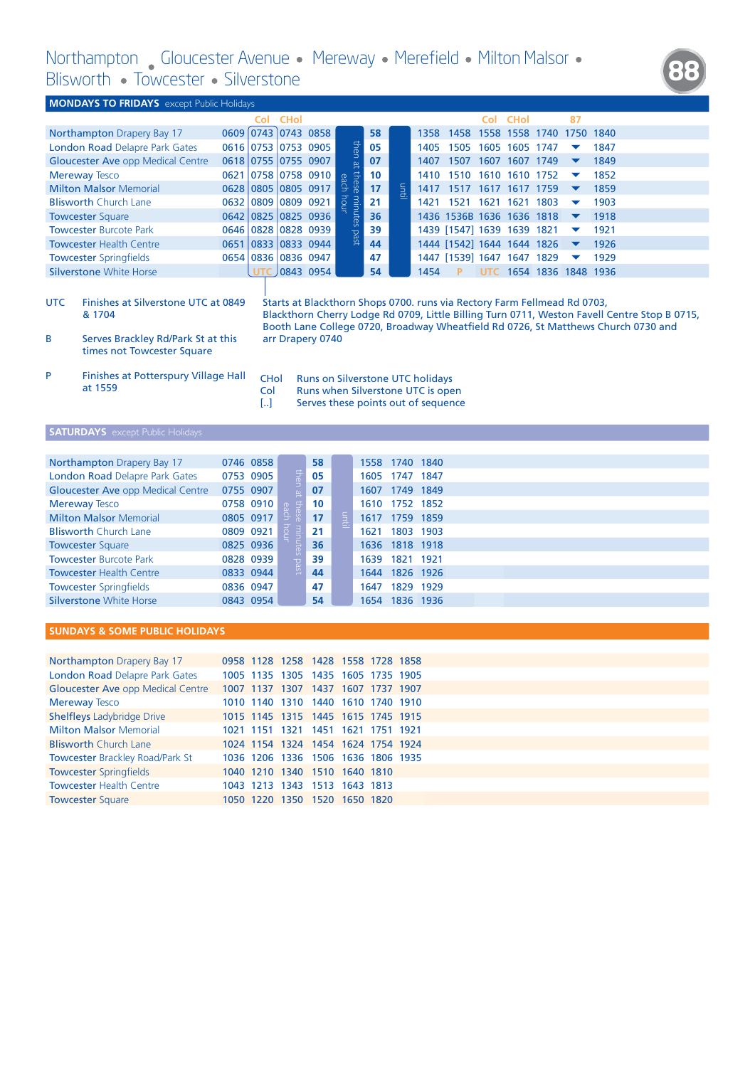**88**

|                 | DIDIVOLUT Y TUVVCCULCI Y DIIVCIDLUIC                                                |                          |             |                     |                      |    |     |                                                                                                              |                                                                          |            |                |                     |                      |           |                                                                                   |                                                                                              |
|-----------------|-------------------------------------------------------------------------------------|--------------------------|-------------|---------------------|----------------------|----|-----|--------------------------------------------------------------------------------------------------------------|--------------------------------------------------------------------------|------------|----------------|---------------------|----------------------|-----------|-----------------------------------------------------------------------------------|----------------------------------------------------------------------------------------------|
|                 | <b>MONDAYS TO FRIDAYS</b> except Public Holidays                                    |                          |             |                     |                      |    |     |                                                                                                              |                                                                          |            |                |                     |                      |           |                                                                                   |                                                                                              |
|                 |                                                                                     | Col                      | <b>CHol</b> |                     |                      |    |     |                                                                                                              |                                                                          | Col        | <b>CHol</b>    |                     | 87                   |           |                                                                                   |                                                                                              |
|                 | Northampton Drapery Bay 17                                                          | 0609 0743 0743 0858      |             |                     |                      | 58 |     | 1358                                                                                                         | 1458 1558 1558 1740                                                      |            |                |                     |                      | 1750 1840 |                                                                                   |                                                                                              |
|                 | London Road Delapre Park Gates                                                      | 0616 0753 0753 0905      |             |                     |                      | 05 |     | 1405                                                                                                         | 1505                                                                     |            | 1605 1605 1747 |                     |                      | 1847      |                                                                                   |                                                                                              |
|                 | <b>Gloucester Ave opp Medical Centre</b>                                            | 0618 0755 0755 0907      |             |                     | then at these        | 07 |     | 1407                                                                                                         | 1507                                                                     |            | 1607 1607 1749 |                     | ▼                    | 1849      |                                                                                   |                                                                                              |
|                 | <b>Mereway Tesco</b>                                                                |                          |             | 0621 0758 0758 0910 |                      | 10 |     | 1410                                                                                                         | 1510 1610 1610 1752                                                      |            |                |                     | ▼                    | 1852      |                                                                                   |                                                                                              |
|                 | <b>Milton Malsor Memorial</b>                                                       | 0628 0805 0805 0917      |             |                     | each                 | 17 | num | 1417                                                                                                         | 1517 1617 1617 1759                                                      |            |                |                     | ▼                    | 1859      |                                                                                   |                                                                                              |
|                 | <b>Blisworth Church Lane</b>                                                        | 0632 0809 0809 0921      |             |                     | hour<br>minutes past | 21 |     | 1421                                                                                                         | 1521 1621 1621 1803                                                      |            |                |                     | ▼                    | 1903      |                                                                                   |                                                                                              |
|                 | <b>Towcester Square</b>                                                             | 0642 0825 0825 0936      |             |                     |                      | 36 |     |                                                                                                              | 1436 1536B 1636 1636 1818                                                |            |                |                     | $\blacktriangledown$ | 1918      |                                                                                   |                                                                                              |
|                 | <b>Towcester Burcote Park</b>                                                       | 0646 0828 0828 0939      |             |                     |                      | 39 |     |                                                                                                              | 1439 [1547] 1639 1639 1821                                               |            |                |                     | $\blacktriangledown$ | 1921      |                                                                                   |                                                                                              |
|                 | <b>Towcester Health Centre</b>                                                      | 0651 0833 0833 0944      |             |                     |                      | 44 |     |                                                                                                              | 1444 [1542] 1644 1644 1826                                               |            |                |                     | $\blacktriangledown$ | 1926      |                                                                                   |                                                                                              |
|                 | <b>Towcester Springfields</b>                                                       | 0654 0836 0836 0947      |             |                     |                      | 47 |     |                                                                                                              | 1447 [1539] 1647 1647 1829                                               |            |                |                     | ▼                    | 1929      |                                                                                   |                                                                                              |
|                 | <b>Silverstone White Horse</b>                                                      | <b>UTC</b>               |             | 0843 0954           |                      | 54 |     | 1454                                                                                                         |                                                                          | <b>UTC</b> |                | 1654 1836 1848 1936 |                      |           |                                                                                   |                                                                                              |
| <b>UTC</b><br>В | Finishes at Silverstone UTC at 0849<br>& 1704<br>Serves Brackley Rd/Park St at this |                          |             | arr Drapery 0740    |                      |    |     |                                                                                                              | Starts at Blackthorn Shops 0700. runs via Rectory Farm Fellmead Rd 0703, |            |                |                     |                      |           | Booth Lane College 0720, Broadway Wheatfield Rd 0726, St Matthews Church 0730 and | Blackthorn Cherry Lodge Rd 0709, Little Billing Turn 0711, Weston Favell Centre Stop B 0715, |
| P               | times not Towcester Square<br>Finishes at Potterspury Village Hall<br>at 1559       | <b>CHol</b><br>Col<br>IJ |             |                     |                      |    |     | Runs on Silverstone UTC holidays<br>Runs when Silverstone UTC is open<br>Serves these points out of sequence |                                                                          |            |                |                     |                      |           |                                                                                   |                                                                                              |
|                 | <b>SATURDAYS</b> except Public Holidays                                             |                          |             |                     |                      |    |     |                                                                                                              |                                                                          |            |                |                     |                      |           |                                                                                   |                                                                                              |

| Northampton Drapery Bay 17               | 0746 0858 |               | 58 |   | 1558 1740 1840 |           |  |
|------------------------------------------|-----------|---------------|----|---|----------------|-----------|--|
| <b>London Road Delapre Park Gates</b>    | 0753 0905 |               | 05 |   | 1605 1747 1847 |           |  |
| <b>Gloucester Ave opp Medical Centre</b> | 0755 0907 | then at       | 07 |   | 1607 1749 1849 |           |  |
| <b>Mereway Tesco</b>                     | 0758 0910 | $\Rightarrow$ | 10 |   | 1610 1752      | 1852      |  |
| <b>Milton Malsor Memorial</b>            | 0805 0917 |               | 17 | 클 | 1617 1759 1859 |           |  |
| <b>Blisworth Church Lane</b>             | 0809 0921 |               | 21 |   | 1621           | 1803 1903 |  |
| <b>Towcester Square</b>                  | 0825 0936 | nutes past    | 36 |   | 1636 1818 1918 |           |  |
| <b>Towcester Burcote Park</b>            | 0828 0939 |               | 39 |   | 1639<br>1821   | 1921      |  |
| <b>Towcester Health Centre</b>           | 0833 0944 |               | 44 |   | 1644           | 1826 1926 |  |
| <b>Towcester Springfields</b>            | 0836 0947 |               | 47 |   | 1829<br>1647   | 1929      |  |
| Silverstone White Horse                  | 0843 0954 |               | 54 |   | 1654           | 1836 1936 |  |

## **SUNDAYS & SOME PUBLIC HOLIDAYS**

| <b>Northampton Drapery Bay 17</b>        |  | 0958 1128 1258 1428 1558 1728 1858 |  |  |  |  |  |
|------------------------------------------|--|------------------------------------|--|--|--|--|--|
| <b>London Road Delapre Park Gates</b>    |  | 1005 1135 1305 1435 1605 1735 1905 |  |  |  |  |  |
| <b>Gloucester Ave opp Medical Centre</b> |  | 1007 1137 1307 1437 1607 1737 1907 |  |  |  |  |  |
| <b>Mereway Tesco</b>                     |  | 1010 1140 1310 1440 1610 1740 1910 |  |  |  |  |  |
| <b>Shelfleys Ladybridge Drive</b>        |  | 1015 1145 1315 1445 1615 1745 1915 |  |  |  |  |  |
| <b>Milton Malsor Memorial</b>            |  | 1021 1151 1321 1451 1621 1751 1921 |  |  |  |  |  |
| <b>Blisworth Church Lane</b>             |  | 1024 1154 1324 1454 1624 1754 1924 |  |  |  |  |  |
| <b>Towcester Brackley Road/Park St</b>   |  | 1036 1206 1336 1506 1636 1806 1935 |  |  |  |  |  |
| <b>Towcester Springfields</b>            |  | 1040 1210 1340 1510 1640 1810      |  |  |  |  |  |
| <b>Towcester Health Centre</b>           |  | 1043 1213 1343 1513 1643 1813      |  |  |  |  |  |
| <b>Towcester Square</b>                  |  | 1050 1220 1350 1520 1650 1820      |  |  |  |  |  |
|                                          |  |                                    |  |  |  |  |  |